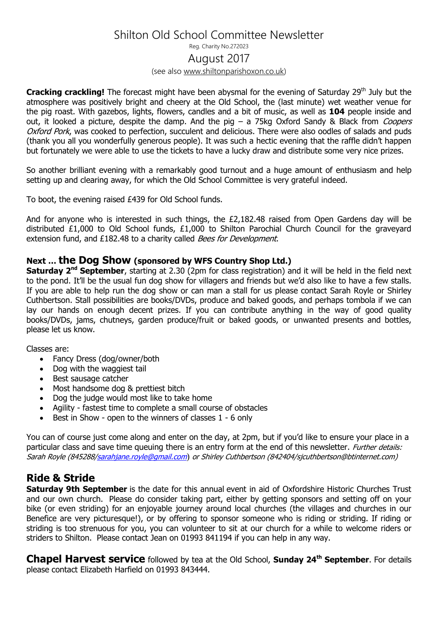## Shilton Old School Committee Newsletter

Reg. Charity No.272023

#### August 2017

(see also [www.shiltonparishoxon.co.uk\)](http://www.shiltonparishoxon.co.uk/)

**Cracking crackling!** The forecast might have been abysmal for the evening of Saturday 29<sup>th</sup> July but the atmosphere was positively bright and cheery at the Old School, the (last minute) wet weather venue for the pig roast. With gazebos, lights, flowers, candles and a bit of music, as well as **104** people inside and out, it looked a picture, despite the damp. And the pig  $-$  a 75kg Oxford Sandy & Black from *Coopers* Oxford Pork, was cooked to perfection, succulent and delicious. There were also oodles of salads and puds (thank you all you wonderfully generous people). It was such a hectic evening that the raffle didn't happen but fortunately we were able to use the tickets to have a lucky draw and distribute some very nice prizes.

So another brilliant evening with a remarkably good turnout and a huge amount of enthusiasm and help setting up and clearing away, for which the Old School Committee is very grateful indeed.

To boot, the evening raised £439 for Old School funds.

And for anyone who is interested in such things, the £2,182.48 raised from Open Gardens day will be distributed £1,000 to Old School funds, £1,000 to Shilton Parochial Church Council for the graveyard extension fund, and £182.48 to a charity called *Bees for Development*.

#### **Next … the Dog Show (sponsored by WFS Country Shop Ltd.)**

**Saturday 2nd September**, starting at 2.30 (2pm for class registration) and it will be held in the field next to the pond. It'll be the usual fun dog show for villagers and friends but we'd also like to have a few stalls. If you are able to help run the dog show or can man a stall for us please contact Sarah Royle or Shirley Cuthbertson. Stall possibilities are books/DVDs, produce and baked goods, and perhaps tombola if we can lay our hands on enough decent prizes. If you can contribute anything in the way of good quality books/DVDs, jams, chutneys, garden produce/fruit or baked goods, or unwanted presents and bottles, please let us know.

Classes are:

- Fancy Dress (dog/owner/both
- Dog with the waggiest tail
- Best sausage catcher
- Most handsome dog & prettiest bitch
- Dog the judge would most like to take home
- Agility fastest time to complete a small course of obstacles
- Best in Show open to the winners of classes 1 6 only

You can of course just come along and enter on the day, at 2pm, but if you'd like to ensure your place in a particular class and save time queuing there is an entry form at the end of this newsletter. *Further details:* Sarah Royle (84528[8/sarahjane.royle@gmail.com](mailto:sarahjane.royle@gmail.com)) or Shirley Cuthbertson (842404/sjcuthbertson@btinternet.com)

### **Ride & Stride**

**Saturday 9th September** is the date for this annual event in aid of Oxfordshire Historic Churches Trust and our own church. Please do consider taking part, either by getting sponsors and setting off on your bike (or even striding) for an enjoyable journey around local churches (the villages and churches in our Benefice are very picturesque!), or by offering to sponsor someone who is riding or striding. If riding or striding is too strenuous for you, you can volunteer to sit at our church for a while to welcome riders or striders to Shilton. Please contact Jean on 01993 841194 if you can help in any way.

**Chapel Harvest service** followed by tea at the Old School, **Sunday 24th September**. For details please contact Elizabeth Harfield on 01993 843444.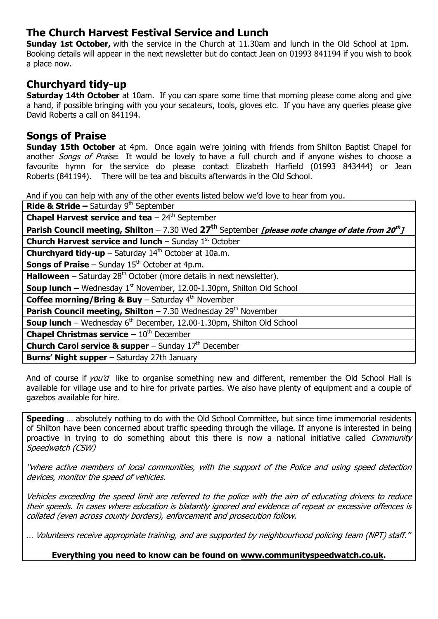### **The Church Harvest Festival Service and Lunch**

**Sunday 1st October,** with the service in the Church at 11.30am and lunch in the Old School at 1pm. Booking details will appear in the next newsletter but do contact Jean on 01993 841194 if you wish to book a place now.

### **Churchyard tidy-up**

**Saturday 14th October** at 10am. If you can spare some time that morning please come along and give a hand, if possible bringing with you your secateurs, tools, gloves etc. If you have any queries please give David Roberts a call on 841194.

#### **Songs of Praise**

**Sunday 15th October** at 4pm. Once again we're joining with friends from Shilton Baptist Chapel for another *Songs of Praise*. It would be lovely to have a full church and if anyone wishes to choose a favourite hymn for the service do please contact Elizabeth Harfield (01993 843444) or Jean Roberts (841194). There will be tea and biscuits afterwards in the Old School.

And if you can help with any of the other events listed below we'd love to hear from you.

| <b>Ride &amp; Stride - Saturday 9th September</b>                                                                                     |  |  |
|---------------------------------------------------------------------------------------------------------------------------------------|--|--|
| <b>Chapel Harvest service and tea</b> $-24^{\text{th}}$ September                                                                     |  |  |
| <b>Parish Council meeting, Shilton</b> – 7.30 Wed 27 <sup>th</sup> September <i>[please note change of date from 20<sup>th</sup>]</i> |  |  |
| <b>Church Harvest service and lunch</b> – Sunday $1st$ October                                                                        |  |  |
| <b>Churchyard tidy-up</b> - Saturday $14th$ October at 10a.m.                                                                         |  |  |
| <b>Songs of Praise</b> – Sunday $15th$ October at 4p.m.                                                                               |  |  |
| <b>Halloween</b> – Saturday $28th$ October (more details in next newsletter).                                                         |  |  |
| <b>Soup lunch -</b> Wednesday $1^{st}$ November, 12.00-1.30pm, Shilton Old School                                                     |  |  |
| <b>Coffee morning/Bring &amp; Buy</b> – Saturday $4th$ November                                                                       |  |  |
| <b>Parish Council meeting, Shilton</b> $- 7.30$ Wednesday 29 <sup>th</sup> November                                                   |  |  |
| <b>Soup lunch</b> – Wednesday $6th$ December, 12.00-1.30pm, Shilton Old School                                                        |  |  |
| <b>Chapel Christmas service - 10th December</b>                                                                                       |  |  |
| <b>Church Carol service &amp; supper</b> – Sunday $17th$ December                                                                     |  |  |
| <b>Burns' Night supper</b> - Saturday 27th January                                                                                    |  |  |

And of course if you'd like to organise something new and different, remember the Old School Hall is available for village use and to hire for private parties. We also have plenty of equipment and a couple of gazebos available for hire.

**Speeding** … absolutely nothing to do with the Old School Committee, but since time immemorial residents of Shilton have been concerned about traffic speeding through the village. If anyone is interested in being proactive in trying to do something about this there is now a national initiative called *Community* Speedwatch (CSW)

"where active members of local communities, with the support of the Police and using speed detection devices, monitor the speed of vehicles.

Vehicles exceeding the speed limit are referred to the police with the aim of educating drivers to reduce their speeds. In cases where education is blatantly ignored and evidence of repeat or excessive offences is collated (even across county borders), enforcement and prosecution follow.

… Volunteers receive appropriate training, and are supported by neighbourhood policing team (NPT) staff."

#### **Everything you need to know can be found on [www.communityspeedwatch.co.uk.](http://www.communityspeedwatch.co.uk/)**